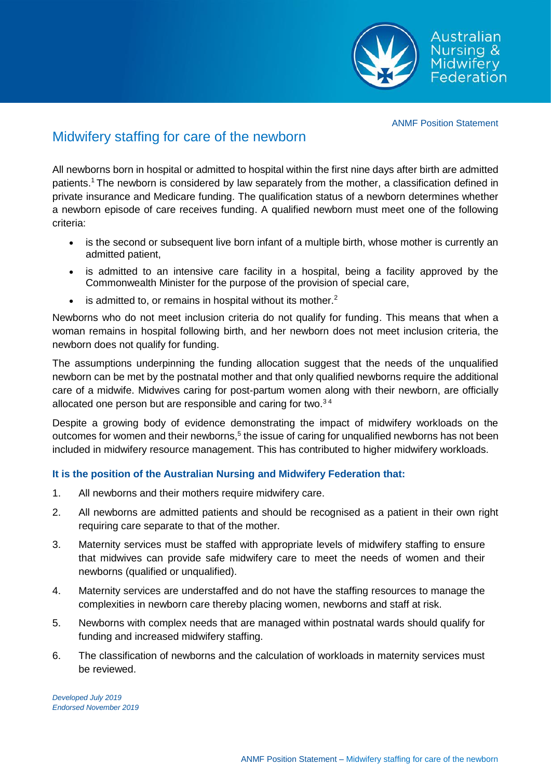Australian Nursina & lidwifery Federation

ANMF Position Statement

## Midwifery staffing for care of the newborn

All newborns born in hospital or admitted to hospital within the first nine days after birth are admitted patients. <sup>1</sup> The newborn is considered by law separately from the mother, a classification defined in private insurance and Medicare funding. The qualification status of a newborn determines whether a newborn episode of care receives funding. A qualified newborn must meet one of the following criteria:

- is the second or subsequent live born infant of a multiple birth, whose mother is currently an admitted patient,
- is admitted to an intensive care facility in a hospital, being a facility approved by the Commonwealth Minister for the purpose of the provision of special care,
- $\bullet$  is admitted to, or remains in hospital without its mother.<sup>2</sup>

Newborns who do not meet inclusion criteria do not qualify for funding. This means that when a woman remains in hospital following birth, and her newborn does not meet inclusion criteria, the newborn does not qualify for funding.

The assumptions underpinning the funding allocation suggest that the needs of the unqualified newborn can be met by the postnatal mother and that only qualified newborns require the additional care of a midwife. Midwives caring for post-partum women along with their newborn, are officially allocated one person but are responsible and caring for two.<sup>34</sup>

Despite a growing body of evidence demonstrating the impact of midwifery workloads on the outcomes for women and their newborns,<sup>5</sup> the issue of caring for unqualified newborns has not been included in midwifery resource management. This has contributed to higher midwifery workloads.

## **It is the position of the Australian Nursing and Midwifery Federation that:**

- 1. All newborns and their mothers require midwifery care.
- 2. All newborns are admitted patients and should be recognised as a patient in their own right requiring care separate to that of the mother.
- 3. Maternity services must be staffed with appropriate levels of midwifery staffing to ensure that midwives can provide safe midwifery care to meet the needs of women and their newborns (qualified or unqualified).
- 4. Maternity services are understaffed and do not have the staffing resources to manage the complexities in newborn care thereby placing women, newborns and staff at risk.
- 5. Newborns with complex needs that are managed within postnatal wards should qualify for funding and increased midwifery staffing.
- 6. The classification of newborns and the calculation of workloads in maternity services must be reviewed.

*Developed July 2019 Endorsed November 2019*